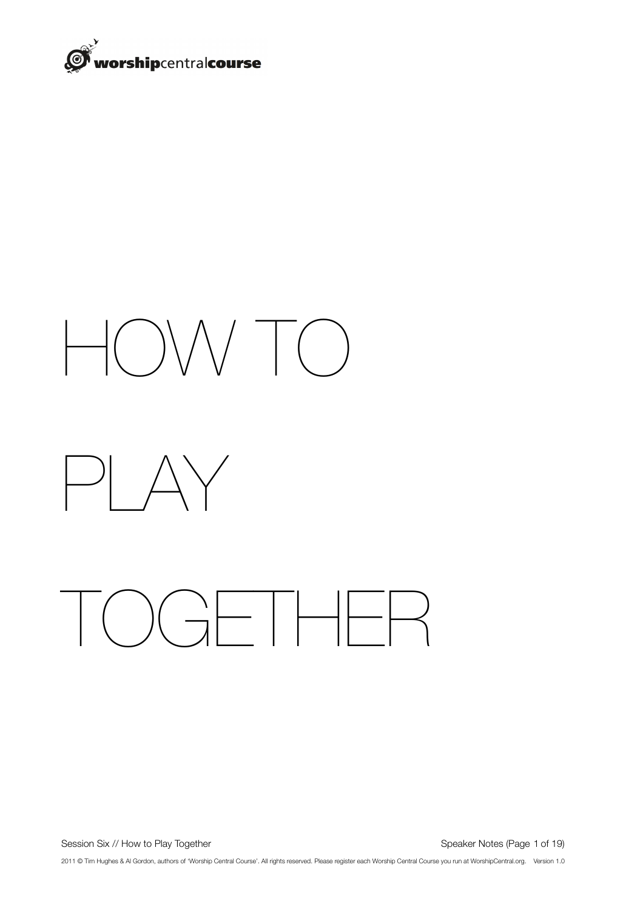

# HOW TO



## TOGETHER

Session Six // How to Play Together **Session Six // How to Play Together 3** and the set of the session Six // How to Play Together

2011 © Tim Hughes & Al Gordon, authors of 'Worship Central Course'. All rights reserved. Please register each Worship Central Course you run at WorshipCentral.org. Version 1.0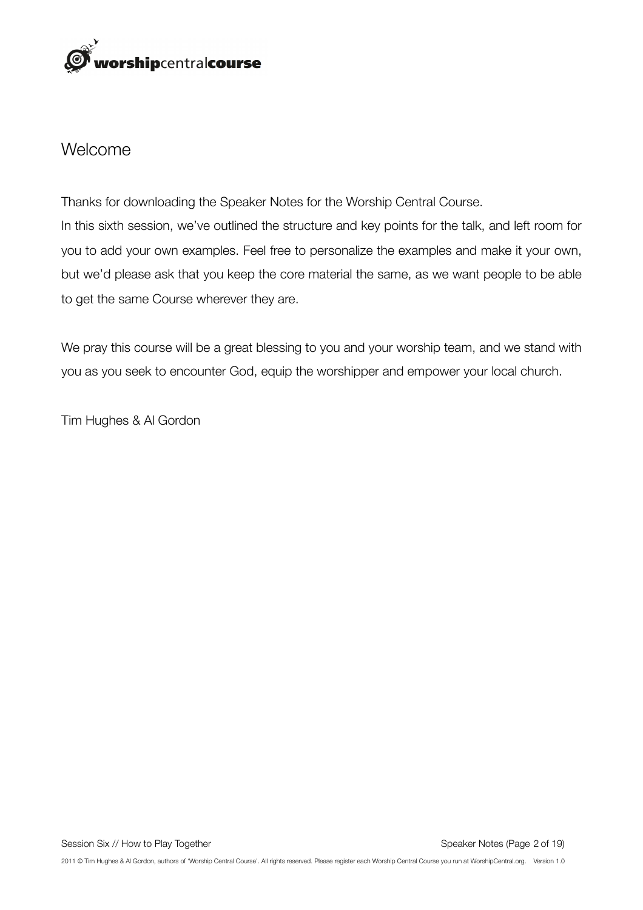

#### Welcome

Thanks for downloading the Speaker Notes for the Worship Central Course. In this sixth session, we've outlined the structure and key points for the talk, and left room for you to add your own examples. Feel free to personalize the examples and make it your own, but we'd please ask that you keep the core material the same, as we want people to be able to get the same Course wherever they are.

We pray this course will be a great blessing to you and your worship team, and we stand with you as you seek to encounter God, equip the worshipper and empower your local church.

Tim Hughes & Al Gordon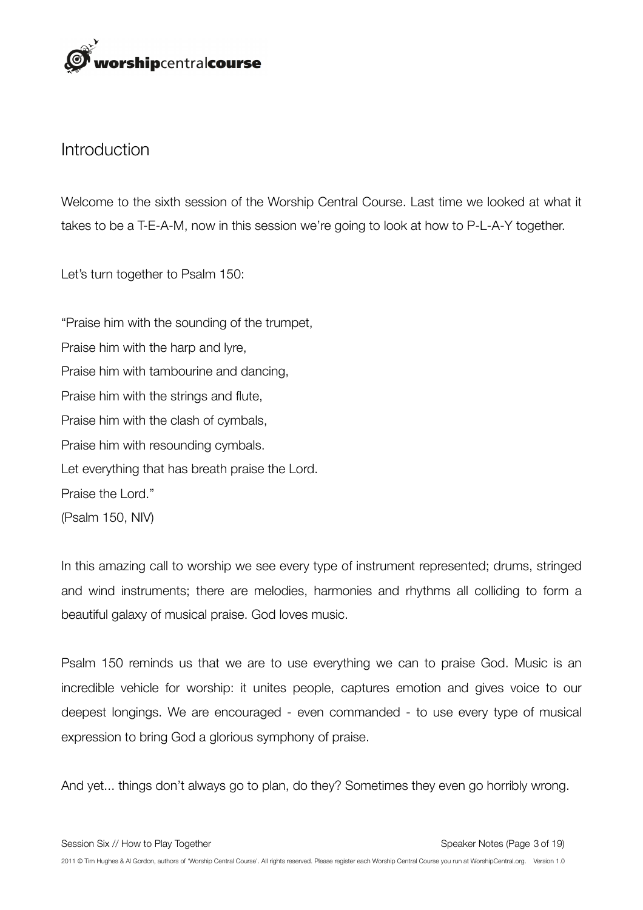

#### **Introduction**

Welcome to the sixth session of the Worship Central Course. Last time we looked at what it takes to be a T-E-A-M, now in this session we're going to look at how to P-L-A-Y together.

Let's turn together to Psalm 150:

"Praise him with the sounding of the trumpet, Praise him with the harp and lyre, Praise him with tambourine and dancing, Praise him with the strings and flute, Praise him with the clash of cymbals, Praise him with resounding cymbals. Let everything that has breath praise the Lord. Praise the Lord." (Psalm 150, NIV)

In this amazing call to worship we see every type of instrument represented; drums, stringed and wind instruments; there are melodies, harmonies and rhythms all colliding to form a beautiful galaxy of musical praise. God loves music.

Psalm 150 reminds us that we are to use everything we can to praise God. Music is an incredible vehicle for worship: it unites people, captures emotion and gives voice to our deepest longings. We are encouraged - even commanded - to use every type of musical expression to bring God a glorious symphony of praise.

And yet... things don't always go to plan, do they? Sometimes they even go horribly wrong.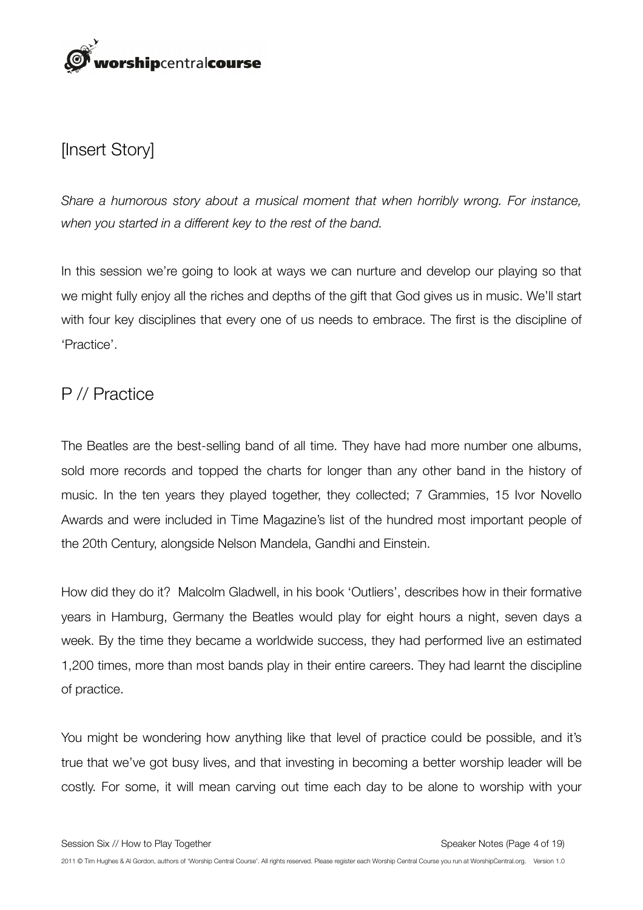

#### [Insert Story]

*Share a humorous story about a musical moment that when horribly wrong. For instance, when you started in a different key to the rest of the band.* 

In this session we're going to look at ways we can nurture and develop our playing so that we might fully enjoy all the riches and depths of the gift that God gives us in music. We'll start with four key disciplines that every one of us needs to embrace. The first is the discipline of 'Practice'.

#### P // Practice

The Beatles are the best-selling band of all time. They have had more number one albums, sold more records and topped the charts for longer than any other band in the history of music. In the ten years they played together, they collected; 7 Grammies, 15 Ivor Novello Awards and were included in Time Magazine's list of the hundred most important people of the 20th Century, alongside Nelson Mandela, Gandhi and Einstein.

How did they do it? Malcolm Gladwell, in his book 'Outliers', describes how in their formative years in Hamburg, Germany the Beatles would play for eight hours a night, seven days a week. By the time they became a worldwide success, they had performed live an estimated 1,200 times, more than most bands play in their entire careers. They had learnt the discipline of practice.

You might be wondering how anything like that level of practice could be possible, and it's true that we've got busy lives, and that investing in becoming a better worship leader will be costly. For some, it will mean carving out time each day to be alone to worship with your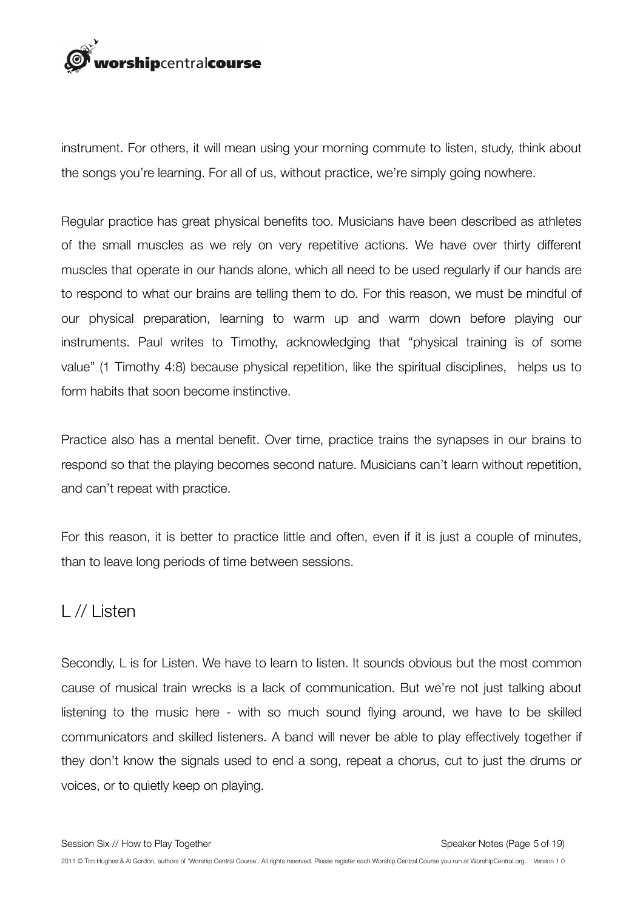

instrument. For others, it will mean using your morning commute to listen, study, think about the songs you're learning. For all of us, without practice, we're simply going nowhere.

Regular practice has great physical benefits too. Musicians have been described as athletes of the small muscles as we rely on very repetitive actions. We have over thirty different muscles that operate in our hands alone, which all need to be used regularly if our hands are to respond to what our brains are telling them to do. For this reason, we must be mindful of our physical preparation, learning to warm up and warm down before playing our instruments. Paul writes to Timothy, acknowledging that "physical training is of some value" (1 Timothy 4:8) because physical repetition, like the spiritual disciplines, helps us to form habits that soon become instinctive.

Practice also has a mental benefit. Over time, practice trains the synapses in our brains to respond so that the playing becomes second nature. Musicians can't learn without repetition, and can't repeat with practice.

For this reason, it is better to practice little and often, even if it is just a couple of minutes, than to leave long periods of time between sessions.

#### L // Listen

Secondly, L is for Listen. We have to learn to listen. It sounds obvious but the most common cause of musical train wrecks is a lack of communication. But we're not just talking about listening to the music here - with so much sound flying around, we have to be skilled communicators and skilled listeners. A band will never be able to play effectively together if they don't know the signals used to end a song, repeat a chorus, cut to just the drums or voices, or to quietly keep on playing.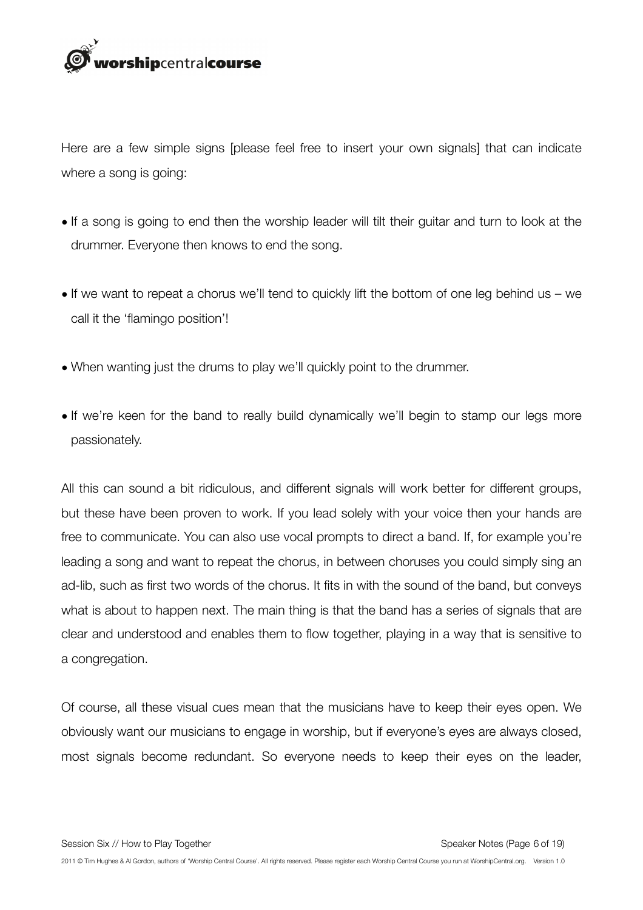

Here are a few simple signs [please feel free to insert your own signals] that can indicate where a song is going:

- If a song is going to end then the worship leader will tilt their guitar and turn to look at the drummer. Everyone then knows to end the song.
- If we want to repeat a chorus we'll tend to quickly lift the bottom of one leg behind us we call it the 'flamingo position'!
- When wanting just the drums to play we'll quickly point to the drummer.
- If we're keen for the band to really build dynamically we'll begin to stamp our legs more passionately.

All this can sound a bit ridiculous, and different signals will work better for different groups, but these have been proven to work. If you lead solely with your voice then your hands are free to communicate. You can also use vocal prompts to direct a band. If, for example you're leading a song and want to repeat the chorus, in between choruses you could simply sing an ad-lib, such as first two words of the chorus. It fits in with the sound of the band, but conveys what is about to happen next. The main thing is that the band has a series of signals that are clear and understood and enables them to flow together, playing in a way that is sensitive to a congregation.

Of course, all these visual cues mean that the musicians have to keep their eyes open. We obviously want our musicians to engage in worship, but if everyone's eyes are always closed, most signals become redundant. So everyone needs to keep their eyes on the leader,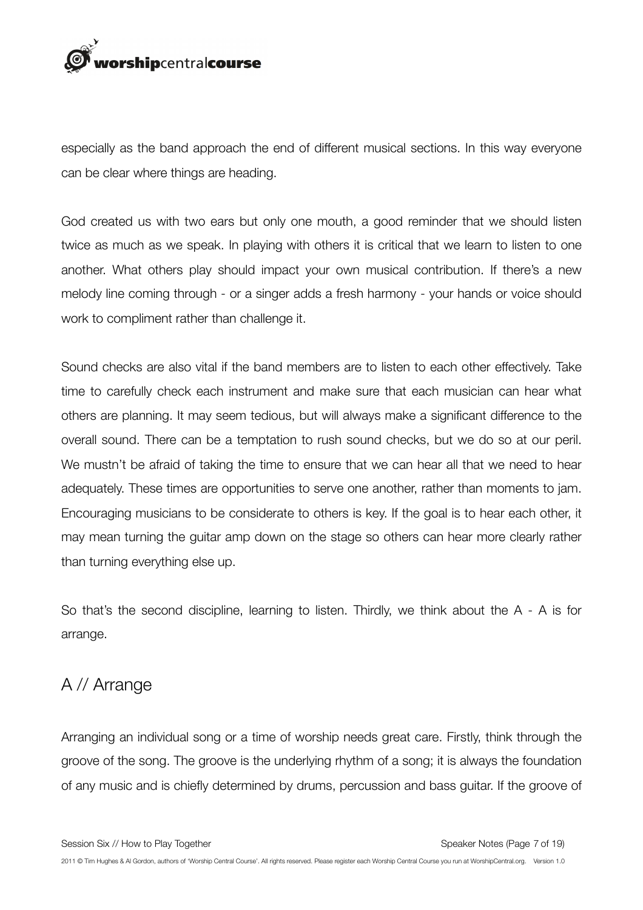

especially as the band approach the end of different musical sections. In this way everyone can be clear where things are heading.

God created us with two ears but only one mouth, a good reminder that we should listen twice as much as we speak. In playing with others it is critical that we learn to listen to one another. What others play should impact your own musical contribution. If there's a new melody line coming through - or a singer adds a fresh harmony - your hands or voice should work to compliment rather than challenge it.

Sound checks are also vital if the band members are to listen to each other effectively. Take time to carefully check each instrument and make sure that each musician can hear what others are planning. It may seem tedious, but will always make a significant difference to the overall sound. There can be a temptation to rush sound checks, but we do so at our peril. We mustn't be afraid of taking the time to ensure that we can hear all that we need to hear adequately. These times are opportunities to serve one another, rather than moments to jam. Encouraging musicians to be considerate to others is key. If the goal is to hear each other, it may mean turning the guitar amp down on the stage so others can hear more clearly rather than turning everything else up.

So that's the second discipline, learning to listen. Thirdly, we think about the A - A is for arrange.

#### A // Arrange

Arranging an individual song or a time of worship needs great care. Firstly, think through the groove of the song. The groove is the underlying rhythm of a song; it is always the foundation of any music and is chiefly determined by drums, percussion and bass guitar. If the groove of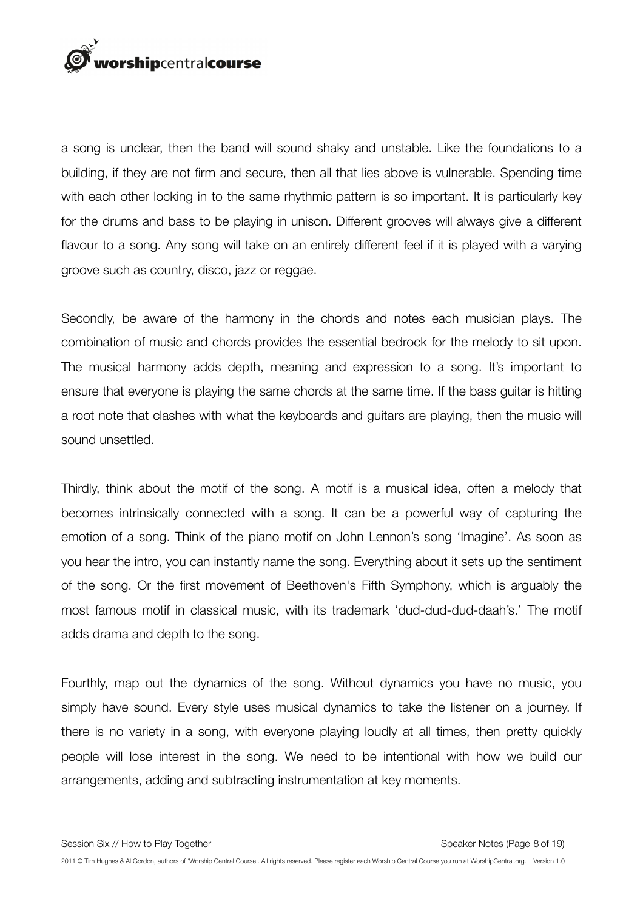

a song is unclear, then the band will sound shaky and unstable. Like the foundations to a building, if they are not firm and secure, then all that lies above is vulnerable. Spending time with each other locking in to the same rhythmic pattern is so important. It is particularly key for the drums and bass to be playing in unison. Different grooves will always give a different flavour to a song. Any song will take on an entirely different feel if it is played with a varying groove such as country, disco, jazz or reggae.

Secondly, be aware of the harmony in the chords and notes each musician plays. The combination of music and chords provides the essential bedrock for the melody to sit upon. The musical harmony adds depth, meaning and expression to a song. It's important to ensure that everyone is playing the same chords at the same time. If the bass guitar is hitting a root note that clashes with what the keyboards and guitars are playing, then the music will sound unsettled.

Thirdly, think about the motif of the song. A motif is a musical idea, often a melody that becomes intrinsically connected with a song. It can be a powerful way of capturing the emotion of a song. Think of the piano motif on John Lennon's song 'Imagine'. As soon as you hear the intro, you can instantly name the song. Everything about it sets up the sentiment of the song. Or the first movement of Beethoven's Fifth Symphony, which is arguably the most famous motif in classical music, with its trademark 'dud-dud-dud-daah's.' The motif adds drama and depth to the song.

Fourthly, map out the dynamics of the song. Without dynamics you have no music, you simply have sound. Every style uses musical dynamics to take the listener on a journey. If there is no variety in a song, with everyone playing loudly at all times, then pretty quickly people will lose interest in the song. We need to be intentional with how we build our arrangements, adding and subtracting instrumentation at key moments.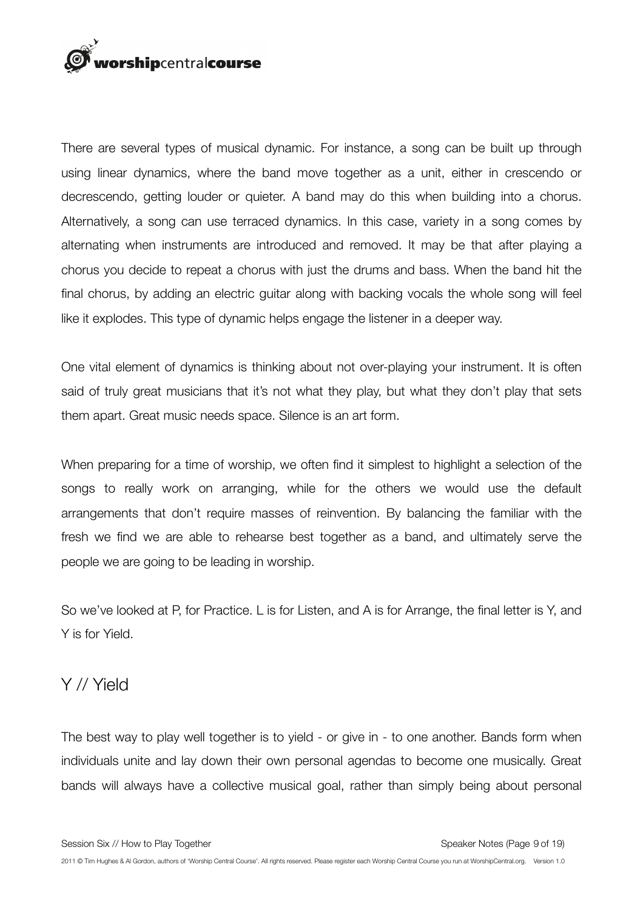

There are several types of musical dynamic. For instance, a song can be built up through using linear dynamics, where the band move together as a unit, either in crescendo or decrescendo, getting louder or quieter. A band may do this when building into a chorus. Alternatively, a song can use terraced dynamics. In this case, variety in a song comes by alternating when instruments are introduced and removed. It may be that after playing a chorus you decide to repeat a chorus with just the drums and bass. When the band hit the final chorus, by adding an electric guitar along with backing vocals the whole song will feel like it explodes. This type of dynamic helps engage the listener in a deeper way.

One vital element of dynamics is thinking about not over-playing your instrument. It is often said of truly great musicians that it's not what they play, but what they don't play that sets them apart. Great music needs space. Silence is an art form.

When preparing for a time of worship, we often find it simplest to highlight a selection of the songs to really work on arranging, while for the others we would use the default arrangements that don't require masses of reinvention. By balancing the familiar with the fresh we find we are able to rehearse best together as a band, and ultimately serve the people we are going to be leading in worship.

So we've looked at P, for Practice. L is for Listen, and A is for Arrange, the final letter is Y, and Y is for Yield.

#### Y // Yield

The best way to play well together is to yield - or give in - to one another. Bands form when individuals unite and lay down their own personal agendas to become one musically. Great bands will always have a collective musical goal, rather than simply being about personal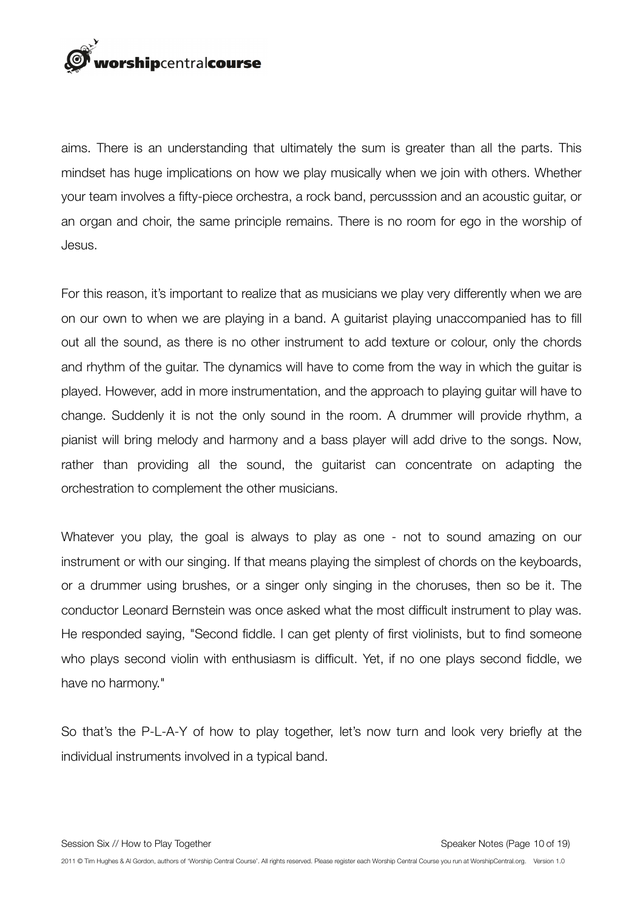## rorshipcentralcourse

aims. There is an understanding that ultimately the sum is greater than all the parts. This mindset has huge implications on how we play musically when we join with others. Whether your team involves a fifty-piece orchestra, a rock band, percusssion and an acoustic guitar, or an organ and choir, the same principle remains. There is no room for ego in the worship of Jesus.

For this reason, it's important to realize that as musicians we play very differently when we are on our own to when we are playing in a band. A guitarist playing unaccompanied has to fill out all the sound, as there is no other instrument to add texture or colour, only the chords and rhythm of the guitar. The dynamics will have to come from the way in which the guitar is played. However, add in more instrumentation, and the approach to playing guitar will have to change. Suddenly it is not the only sound in the room. A drummer will provide rhythm, a pianist will bring melody and harmony and a bass player will add drive to the songs. Now, rather than providing all the sound, the guitarist can concentrate on adapting the orchestration to complement the other musicians.

Whatever you play, the goal is always to play as one - not to sound amazing on our instrument or with our singing. If that means playing the simplest of chords on the keyboards, or a drummer using brushes, or a singer only singing in the choruses, then so be it. The conductor Leonard Bernstein was once asked what the most difficult instrument to play was. He responded saying, "Second fiddle. I can get plenty of first violinists, but to find someone who plays second violin with enthusiasm is difficult. Yet, if no one plays second fiddle, we have no harmony."

So that's the P-L-A-Y of how to play together, let's now turn and look very briefly at the individual instruments involved in a typical band.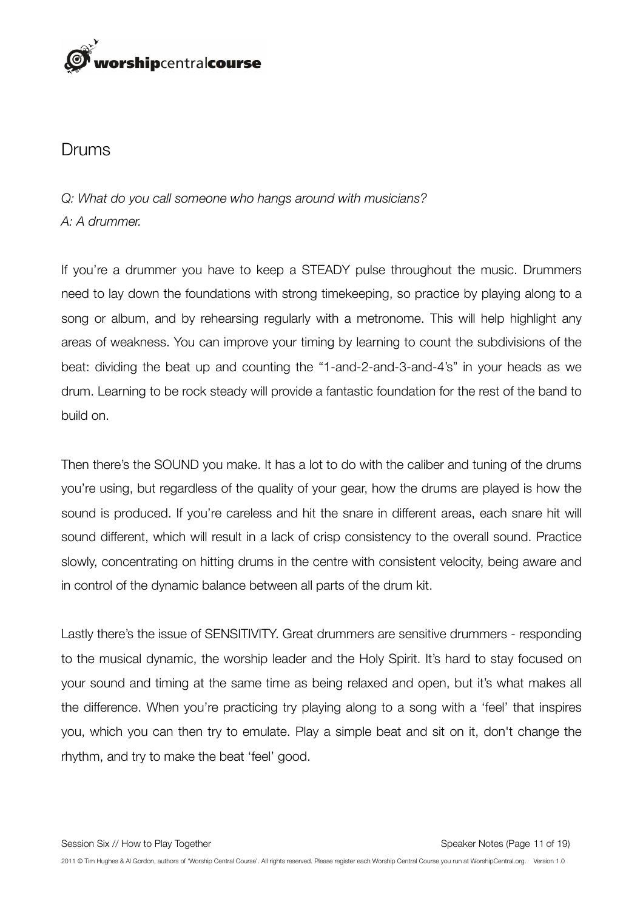

#### Drums

#### *Q: What do you call someone who hangs around with musicians? A: A drummer.*

If you're a drummer you have to keep a STEADY pulse throughout the music. Drummers need to lay down the foundations with strong timekeeping, so practice by playing along to a song or album, and by rehearsing regularly with a metronome. This will help highlight any areas of weakness. You can improve your timing by learning to count the subdivisions of the beat: dividing the beat up and counting the "1-and-2-and-3-and-4's" in your heads as we drum. Learning to be rock steady will provide a fantastic foundation for the rest of the band to build on.

Then there's the SOUND you make. It has a lot to do with the caliber and tuning of the drums you're using, but regardless of the quality of your gear, how the drums are played is how the sound is produced. If you're careless and hit the snare in different areas, each snare hit will sound different, which will result in a lack of crisp consistency to the overall sound. Practice slowly, concentrating on hitting drums in the centre with consistent velocity, being aware and in control of the dynamic balance between all parts of the drum kit.

Lastly there's the issue of SENSITIVITY. Great drummers are sensitive drummers - responding to the musical dynamic, the worship leader and the Holy Spirit. It's hard to stay focused on your sound and timing at the same time as being relaxed and open, but it's what makes all the difference. When you're practicing try playing along to a song with a 'feel' that inspires you, which you can then try to emulate. Play a simple beat and sit on it, don't change the rhythm, and try to make the beat 'feel' good.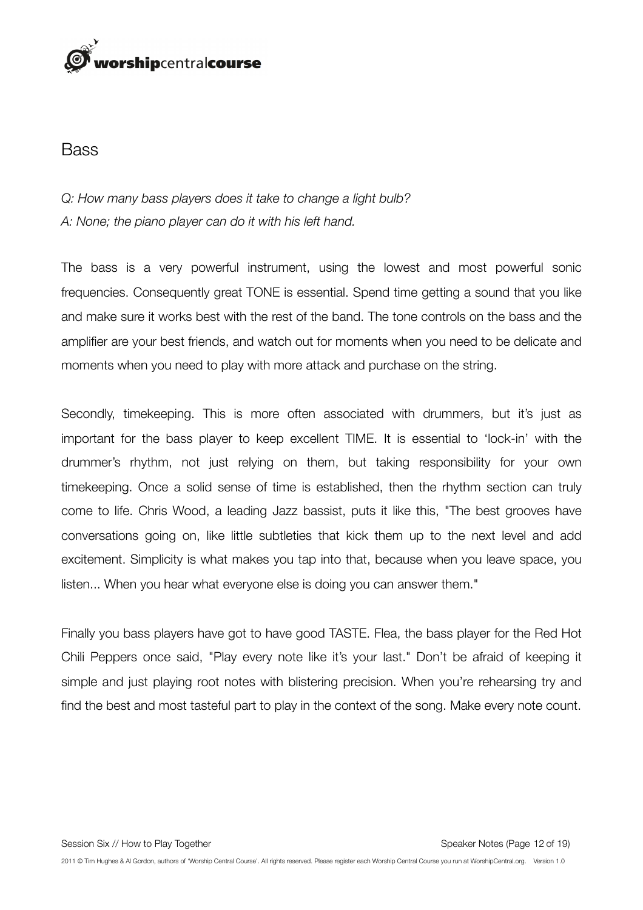## orshipcentralcourse

#### Bass

#### *Q: How many bass players does it take to change a light bulb? A: None; the piano player can do it with his left hand.*

The bass is a very powerful instrument, using the lowest and most powerful sonic frequencies. Consequently great TONE is essential. Spend time getting a sound that you like and make sure it works best with the rest of the band. The tone controls on the bass and the amplifier are your best friends, and watch out for moments when you need to be delicate and moments when you need to play with more attack and purchase on the string.

Secondly, timekeeping. This is more often associated with drummers, but it's just as important for the bass player to keep excellent TIME. It is essential to 'lock-in' with the drummer's rhythm, not just relying on them, but taking responsibility for your own timekeeping. Once a solid sense of time is established, then the rhythm section can truly come to life. Chris Wood, a leading Jazz bassist, puts it like this, "The best grooves have conversations going on, like little subtleties that kick them up to the next level and add excitement. Simplicity is what makes you tap into that, because when you leave space, you listen... When you hear what everyone else is doing you can answer them."

Finally you bass players have got to have good TASTE. Flea, the bass player for the Red Hot Chili Peppers once said, "Play every note like it's your last." Don't be afraid of keeping it simple and just playing root notes with blistering precision. When you're rehearsing try and find the best and most tasteful part to play in the context of the song. Make every note count.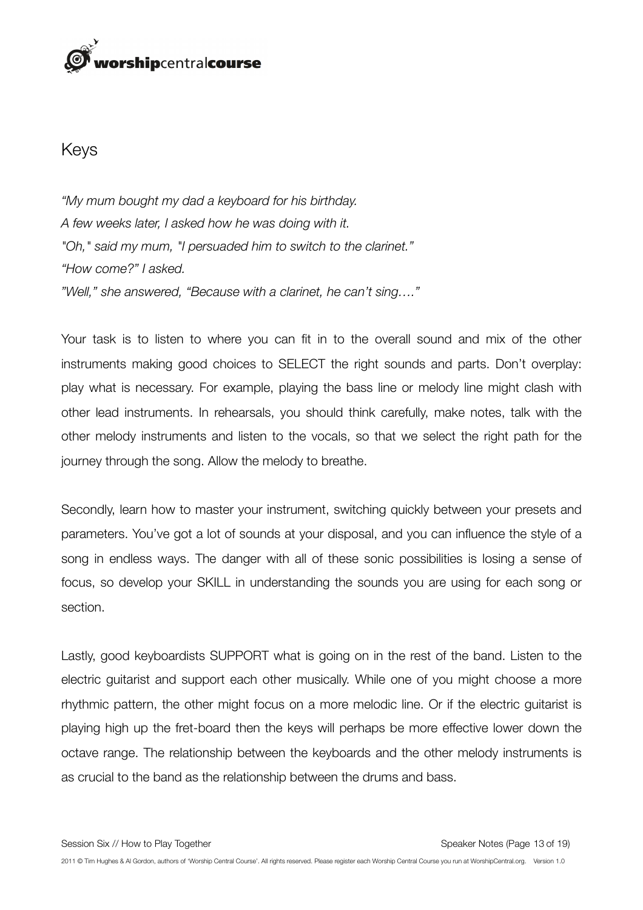## orshipcentralcourse

#### Keys

*"My mum bought my dad a keyboard for his birthday. A few weeks later, I asked how he was doing with it. "Oh," said my mum, "I persuaded him to switch to the clarinet." "How come?" I asked. "Well," she answered, "Because with a clarinet, he can't sing…."*

Your task is to listen to where you can fit in to the overall sound and mix of the other instruments making good choices to SELECT the right sounds and parts. Don't overplay: play what is necessary. For example, playing the bass line or melody line might clash with other lead instruments. In rehearsals, you should think carefully, make notes, talk with the other melody instruments and listen to the vocals, so that we select the right path for the journey through the song. Allow the melody to breathe.

Secondly, learn how to master your instrument, switching quickly between your presets and parameters. You've got a lot of sounds at your disposal, and you can influence the style of a song in endless ways. The danger with all of these sonic possibilities is losing a sense of focus, so develop your SKILL in understanding the sounds you are using for each song or section.

Lastly, good keyboardists SUPPORT what is going on in the rest of the band. Listen to the electric guitarist and support each other musically. While one of you might choose a more rhythmic pattern, the other might focus on a more melodic line. Or if the electric guitarist is playing high up the fret-board then the keys will perhaps be more effective lower down the octave range. The relationship between the keyboards and the other melody instruments is as crucial to the band as the relationship between the drums and bass.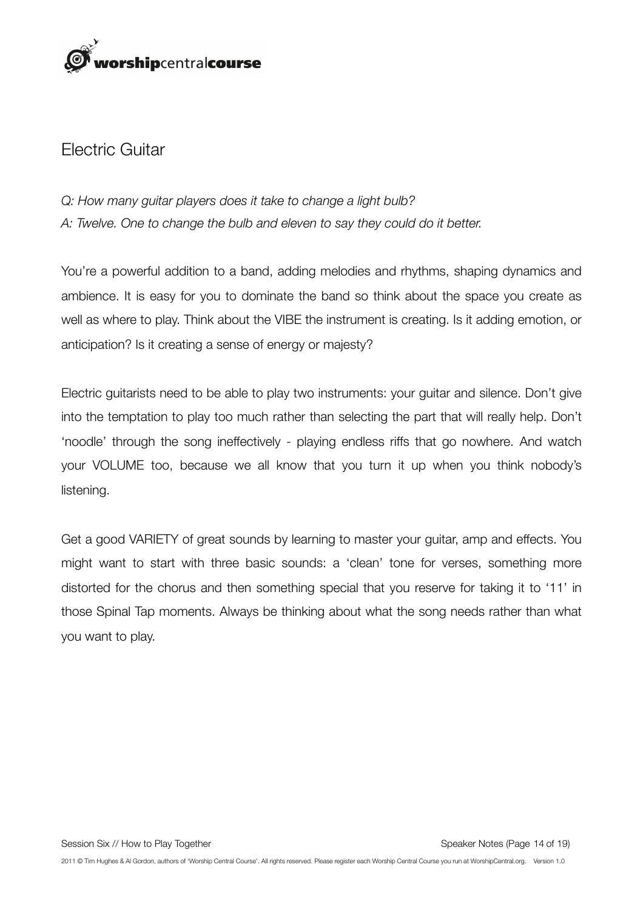

#### Electric Guitar

#### *Q: How many guitar players does it take to change a light bulb? A: Twelve. One to change the bulb and eleven to say they could do it better.*

You're a powerful addition to a band, adding melodies and rhythms, shaping dynamics and ambience. It is easy for you to dominate the band so think about the space you create as well as where to play. Think about the VIBE the instrument is creating. Is it adding emotion, or anticipation? Is it creating a sense of energy or majesty?

Electric guitarists need to be able to play two instruments: your guitar and silence. Don't give into the temptation to play too much rather than selecting the part that will really help. Don't 'noodle' through the song ineffectively - playing endless riffs that go nowhere. And watch your VOLUME too, because we all know that you turn it up when you think nobody's listening.

Get a good VARIETY of great sounds by learning to master your guitar, amp and effects. You might want to start with three basic sounds: a 'clean' tone for verses, something more distorted for the chorus and then something special that you reserve for taking it to '11' in those Spinal Tap moments. Always be thinking about what the song needs rather than what you want to play.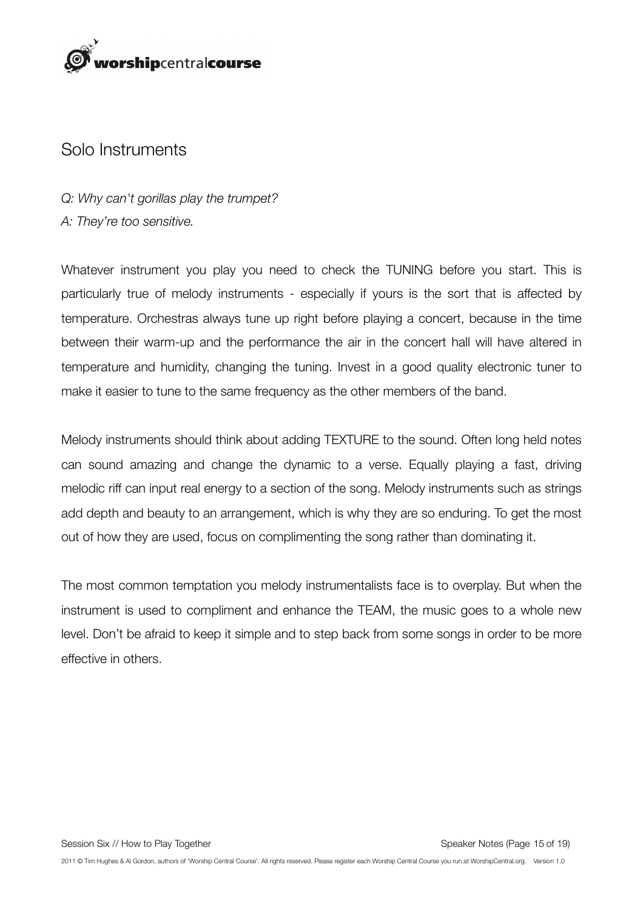

#### Solo Instruments

*Q: Why can't gorillas play the trumpet? A: They're too sensitive.*

Whatever instrument you play you need to check the TUNING before you start. This is particularly true of melody instruments - especially if yours is the sort that is affected by temperature. Orchestras always tune up right before playing a concert, because in the time between their warm-up and the performance the air in the concert hall will have altered in temperature and humidity, changing the tuning. Invest in a good quality electronic tuner to make it easier to tune to the same frequency as the other members of the band.

Melody instruments should think about adding TEXTURE to the sound. Often long held notes can sound amazing and change the dynamic to a verse. Equally playing a fast, driving melodic riff can input real energy to a section of the song. Melody instruments such as strings add depth and beauty to an arrangement, which is why they are so enduring. To get the most out of how they are used, focus on complimenting the song rather than dominating it.

The most common temptation you melody instrumentalists face is to overplay. But when the instrument is used to compliment and enhance the TEAM, the music goes to a whole new level. Don't be afraid to keep it simple and to step back from some songs in order to be more effective in others.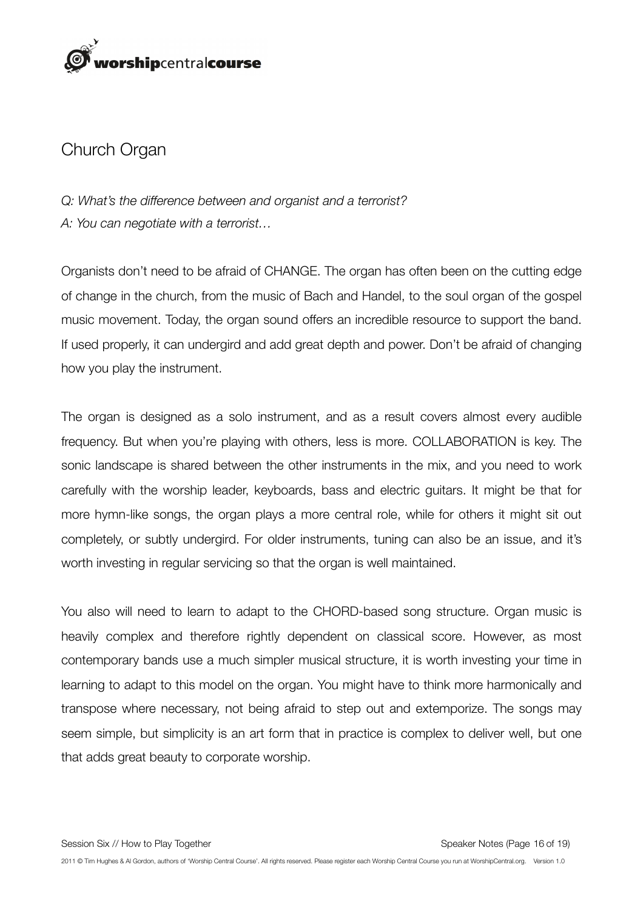

#### Church Organ

*Q: What's the difference between and organist and a terrorist? A: You can negotiate with a terrorist…*

Organists don't need to be afraid of CHANGE. The organ has often been on the cutting edge of change in the church, from the music of Bach and Handel, to the soul organ of the gospel music movement. Today, the organ sound offers an incredible resource to support the band. If used properly, it can undergird and add great depth and power. Don't be afraid of changing how you play the instrument.

The organ is designed as a solo instrument, and as a result covers almost every audible frequency. But when you're playing with others, less is more. COLLABORATION is key. The sonic landscape is shared between the other instruments in the mix, and you need to work carefully with the worship leader, keyboards, bass and electric guitars. It might be that for more hymn-like songs, the organ plays a more central role, while for others it might sit out completely, or subtly undergird. For older instruments, tuning can also be an issue, and it's worth investing in regular servicing so that the organ is well maintained.

You also will need to learn to adapt to the CHORD-based song structure. Organ music is heavily complex and therefore rightly dependent on classical score. However, as most contemporary bands use a much simpler musical structure, it is worth investing your time in learning to adapt to this model on the organ. You might have to think more harmonically and transpose where necessary, not being afraid to step out and extemporize. The songs may seem simple, but simplicity is an art form that in practice is complex to deliver well, but one that adds great beauty to corporate worship.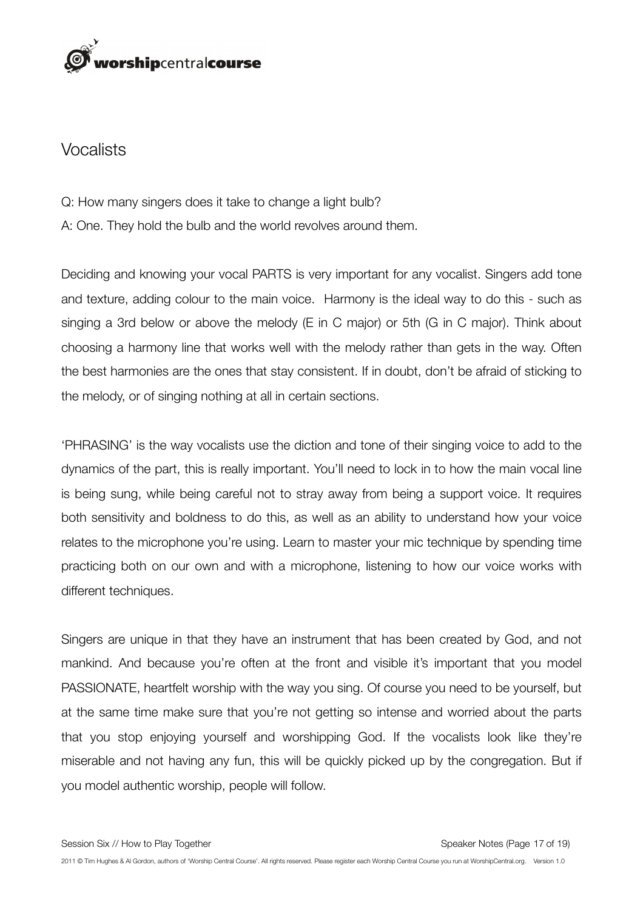## orshipcentralcourse

#### Vocalists

- Q: How many singers does it take to change a light bulb?
- A: One. They hold the bulb and the world revolves around them.

Deciding and knowing your vocal PARTS is very important for any vocalist. Singers add tone and texture, adding colour to the main voice. Harmony is the ideal way to do this - such as singing a 3rd below or above the melody (E in C major) or 5th (G in C major). Think about choosing a harmony line that works well with the melody rather than gets in the way. Often the best harmonies are the ones that stay consistent. If in doubt, don't be afraid of sticking to the melody, or of singing nothing at all in certain sections.

'PHRASING' is the way vocalists use the diction and tone of their singing voice to add to the dynamics of the part, this is really important. You'll need to lock in to how the main vocal line is being sung, while being careful not to stray away from being a support voice. It requires both sensitivity and boldness to do this, as well as an ability to understand how your voice relates to the microphone you're using. Learn to master your mic technique by spending time practicing both on our own and with a microphone, listening to how our voice works with different techniques.

Singers are unique in that they have an instrument that has been created by God, and not mankind. And because you're often at the front and visible it's important that you model PASSIONATE, heartfelt worship with the way you sing. Of course you need to be yourself, but at the same time make sure that you're not getting so intense and worried about the parts that you stop enjoying yourself and worshipping God. If the vocalists look like they're miserable and not having any fun, this will be quickly picked up by the congregation. But if you model authentic worship, people will follow.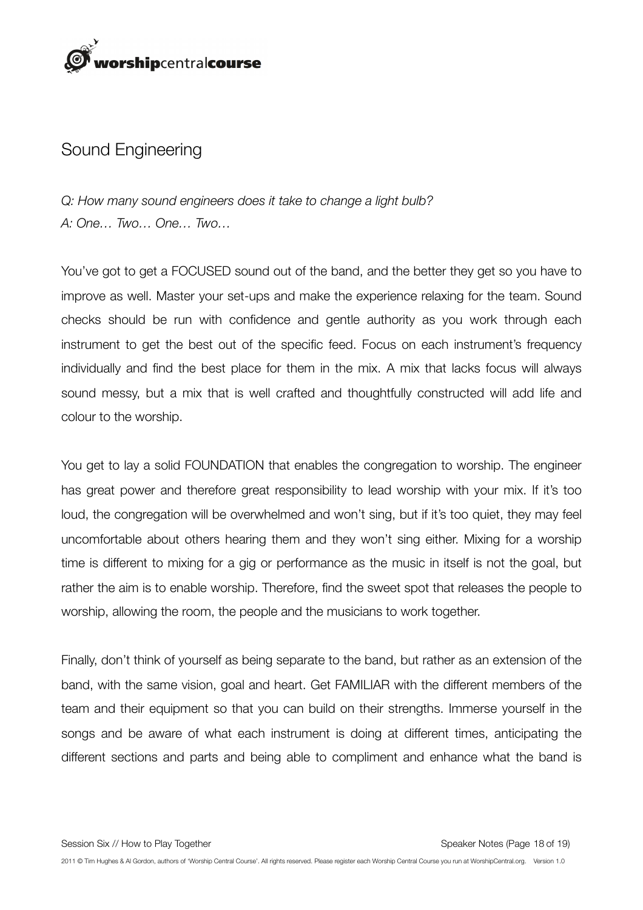

#### Sound Engineering

*Q: How many sound engineers does it take to change a light bulb? A: One… Two… One… Two…*

You've got to get a FOCUSED sound out of the band, and the better they get so you have to improve as well. Master your set-ups and make the experience relaxing for the team. Sound checks should be run with confidence and gentle authority as you work through each instrument to get the best out of the specific feed. Focus on each instrument's frequency individually and find the best place for them in the mix. A mix that lacks focus will always sound messy, but a mix that is well crafted and thoughtfully constructed will add life and colour to the worship.

You get to lay a solid FOUNDATION that enables the congregation to worship. The engineer has great power and therefore great responsibility to lead worship with your mix. If it's too loud, the congregation will be overwhelmed and won't sing, but if it's too quiet, they may feel uncomfortable about others hearing them and they won't sing either. Mixing for a worship time is different to mixing for a gig or performance as the music in itself is not the goal, but rather the aim is to enable worship. Therefore, find the sweet spot that releases the people to worship, allowing the room, the people and the musicians to work together.

Finally, don't think of yourself as being separate to the band, but rather as an extension of the band, with the same vision, goal and heart. Get FAMILIAR with the different members of the team and their equipment so that you can build on their strengths. Immerse yourself in the songs and be aware of what each instrument is doing at different times, anticipating the different sections and parts and being able to compliment and enhance what the band is